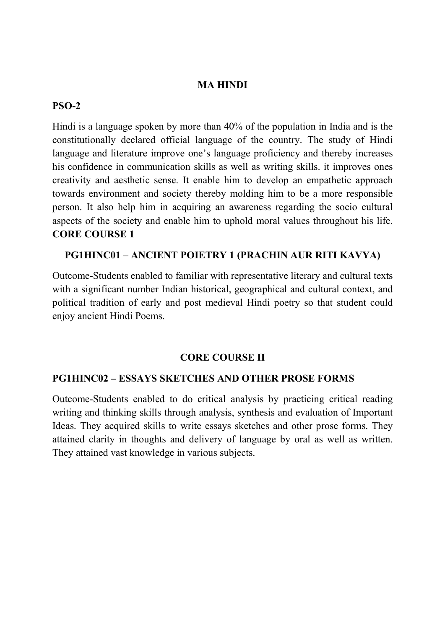### **MA HINDI**

### **PSO-2**

Hindi is a language spoken by more than 40% of the population in India and is the constitutionally declared official language of the country. The study of Hindi language and literature improve one's language proficiency and thereby increases his confidence in communication skills as well as writing skills. it improves ones creativity and aesthetic sense. It enable him to develop an empathetic approach towards environment and society thereby molding him to be a more responsible person. It also help him in acquiring an awareness regarding the socio cultural aspects of the society and enable him to uphold moral values throughout his life. **CORE COURSE 1**

### **PG1HINC01 – ANCIENT POIETRY 1 (PRACHIN AUR RITI KAVYA)**

Outcome-Students enabled to familiar with representative literary and cultural texts with a significant number Indian historical, geographical and cultural context, and political tradition of early and post medieval Hindi poetry so that student could enjoy ancient Hindi Poems.

### **CORE COURSE II**

#### **PG1HINC02 – ESSAYS SKETCHES AND OTHER PROSE FORMS**

Outcome-Students enabled to do critical analysis by practicing critical reading writing and thinking skills through analysis, synthesis and evaluation of Important Ideas. They acquired skills to write essays sketches and other prose forms. They attained clarity in thoughts and delivery of language by oral as well as written. They attained vast knowledge in various subjects.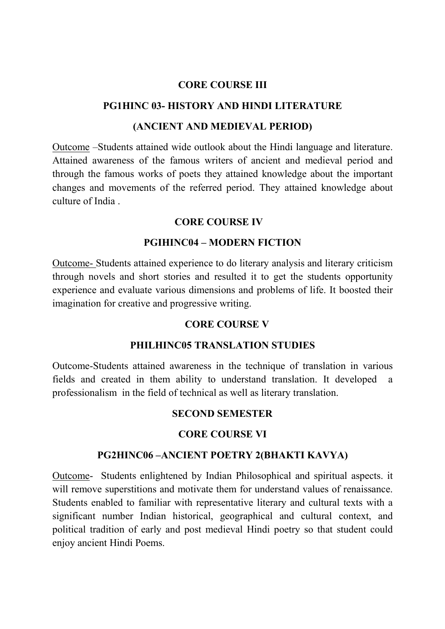### **CORE COURSE III**

### **PG1HINC 03- HISTORY AND HINDI LITERATURE**

#### **(ANCIENT AND MEDIEVAL PERIOD)**

Outcome –Students attained wide outlook about the Hindi language and literature. Attained awareness of the famous writers of ancient and medieval period and through the famous works of poets they attained knowledge about the important changes and movements of the referred period. They attained knowledge about culture of India .

## **CORE COURSE IV**

## **PGIHINC04 – MODERN FICTION**

Outcome- Students attained experience to do literary analysis and literary criticism through novels and short stories and resulted it to get the students opportunity experience and evaluate various dimensions and problems of life. It boosted their imagination for creative and progressive writing.

### **CORE COURSE V**

### **PHILHINC05 TRANSLATION STUDIES**

Outcome-Students attained awareness in the technique of translation in various fields and created in them ability to understand translation. It developed professionalism in the field of technical as well as literary translation.

### **SECOND SEMESTER**

### **CORE COURSE VI**

### **PG2HINC06 –ANCIENT POETRY 2(BHAKTI KAVYA)**

Outcome- Students enlightened by Indian Philosophical and spiritual aspects. it will remove superstitions and motivate them for understand values of renaissance. Students enabled to familiar with representative literary and cultural texts with a significant number Indian historical, geographical and cultural context, and political tradition of early and post medieval Hindi poetry so that student could enjoy ancient Hindi Poems.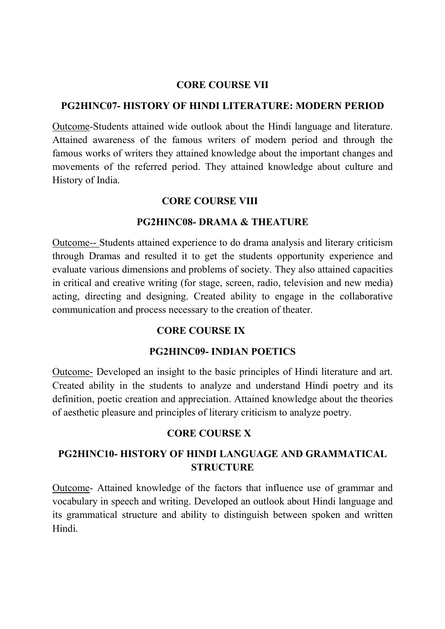### **CORE COURSE VII**

## **PG2HINC07- HISTORY OF HINDI LITERATURE: MODERN PERIOD**

Outcome-Students attained wide outlook about the Hindi language and literature. Attained awareness of the famous writers of modern period and through the famous works of writers they attained knowledge about the important changes and movements of the referred period. They attained knowledge about culture and History of India.

## **CORE COURSE VIII**

### **PG2HINC08- DRAMA & THEATURE**

Outcome-- Students attained experience to do drama analysis and literary criticism through Dramas and resulted it to get the students opportunity experience and evaluate various dimensions and problems of society. They also attained capacities in critical and creative writing (for stage, screen, radio, television and new media) acting, directing and designing. Created ability to engage in the collaborative communication and process necessary to the creation of theater.

# **CORE COURSE IX**

## **PG2HINC09- INDIAN POETICS**

Outcome- Developed an insight to the basic principles of Hindi literature and art. Created ability in the students to analyze and understand Hindi poetry and its definition, poetic creation and appreciation. Attained knowledge about the theories of aesthetic pleasure and principles of literary criticism to analyze poetry.

## **CORE COURSE X**

# **PG2HINC10- HISTORY OF HINDI LANGUAGE AND GRAMMATICAL STRUCTURE**

Outcome- Attained knowledge of the factors that influence use of grammar and vocabulary in speech and writing. Developed an outlook about Hindi language and its grammatical structure and ability to distinguish between spoken and written Hindi.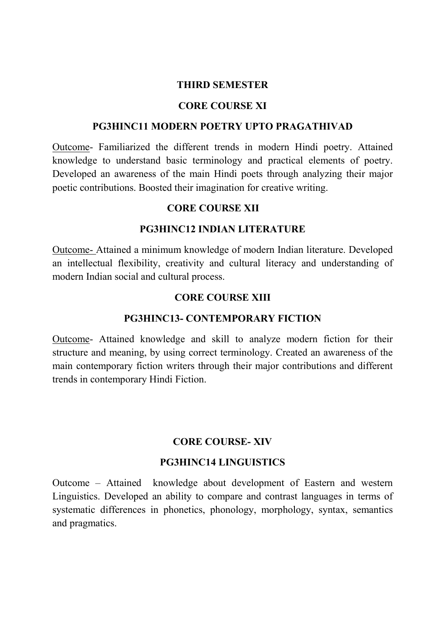### **THIRD SEMESTER**

#### **CORE COURSE XI**

### **PG3HINC11 MODERN POETRY UPTO PRAGATHIVAD**

Outcome- Familiarized the different trends in modern Hindi poetry. Attained knowledge to understand basic terminology and practical elements of poetry. Developed an awareness of the main Hindi poets through analyzing their major poetic contributions. Boosted their imagination for creative writing.

### **CORE COURSE XII**

## **PG3HINC12 INDIAN LITERATURE**

Outcome- Attained a minimum knowledge of modern Indian literature. Developed an intellectual flexibility, creativity and cultural literacy and understanding of modern Indian social and cultural process.

## **CORE COURSE XIII**

## **PG3HINC13- CONTEMPORARY FICTION**

Outcome- Attained knowledge and skill to analyze modern fiction for their structure and meaning, by using correct terminology. Created an awareness of the main contemporary fiction writers through their major contributions and different trends in contemporary Hindi Fiction.

## **CORE COURSE- XIV**

### **PG3HINC14 LINGUISTICS**

Outcome – Attained knowledge about development of Eastern and western Linguistics. Developed an ability to compare and contrast languages in terms of systematic differences in phonetics, phonology, morphology, syntax, semantics and pragmatics.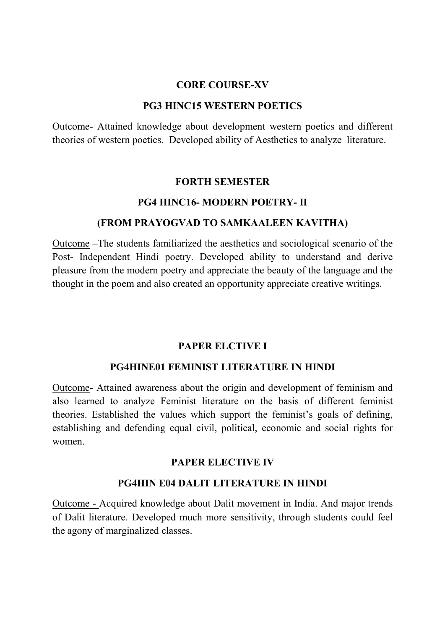### **CORE COURSE-XV**

### **PG3 HINC15 WESTERN POETICS**

Outcome- Attained knowledge about development western poetics and different theories of western poetics. Developed ability of Aesthetics to analyze literature.

### **FORTH SEMESTER**

## **PG4 HINC16- MODERN POETRY- II**

## **(FROM PRAYOGVAD TO SAMKAALEEN KAVITHA)**

Outcome –The students familiarized the aesthetics and sociological scenario of the Post- Independent Hindi poetry. Developed ability to understand and derive pleasure from the modern poetry and appreciate the beauty of the language and the thought in the poem and also created an opportunity appreciate creative writings.

## **PAPER ELCTIVE I**

## **PG4HINE01 FEMINIST LITERATURE IN HINDI**

Outcome- Attained awareness about the origin and development of feminism and also learned to analyze Feminist literature on the basis of different feminist theories. Established the values which support the feminist's goals of defining, establishing and defending equal civil, political, economic and social rights for women.

## **PAPER ELECTIVE IV**

## **PG4HIN E04 DALIT LITERATURE IN HINDI**

Outcome - Acquired knowledge about Dalit movement in India. And major trends of Dalit literature. Developed much more sensitivity, through students could feel the agony of marginalized classes.